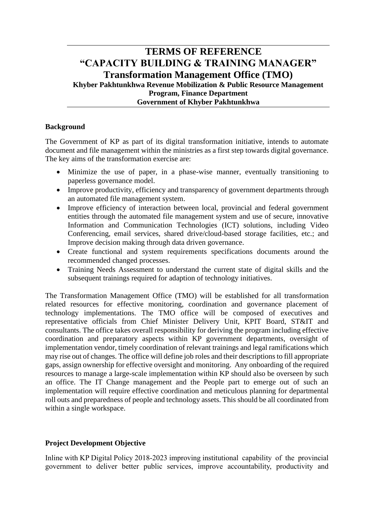# **TERMS OF REFERENCE "CAPACITY BUILDING & TRAINING MANAGER" Transformation Management Office (TMO) Khyber Pakhtunkhwa Revenue Mobilization & Public Resource Management Program, Finance Department Government of Khyber Pakhtunkhwa**

## **Background**

The Government of KP as part of its digital transformation initiative, intends to automate document and file management within the ministries as a first step towards digital governance. The key aims of the transformation exercise are:

- Minimize the use of paper, in a phase-wise manner, eventually transitioning to paperless governance model.
- Improve productivity, efficiency and transparency of government departments through an automated file management system.
- Improve efficiency of interaction between local, provincial and federal government entities through the automated file management system and use of secure, innovative Information and Communication Technologies (ICT) solutions, including Video Conferencing, email services, shared drive/cloud-based storage facilities, etc.; and Improve decision making through data driven governance.
- Create functional and system requirements specifications documents around the recommended changed processes.
- Training Needs Assessment to understand the current state of digital skills and the subsequent trainings required for adaption of technology initiatives.

The Transformation Management Office (TMO) will be established for all transformation related resources for effective monitoring, coordination and governance placement of technology implementations. The TMO office will be composed of executives and representative officials from Chief Minister Delivery Unit, KPIT Board, ST&IT and consultants. The office takes overall responsibility for deriving the program including effective coordination and preparatory aspects within KP government departments, oversight of implementation vendor, timely coordination of relevant trainings and legal ramifications which may rise out of changes. The office will define job roles and their descriptions to fill appropriate gaps, assign ownership for effective oversight and monitoring. Any onboarding of the required resources to manage a large-scale implementation within KP should also be overseen by such an office. The IT Change management and the People part to emerge out of such an implementation will require effective coordination and meticulous planning for departmental roll outs and preparedness of people and technology assets. This should be all coordinated from within a single workspace.

### **Project Development Objective**

Inline with KP Digital Policy 2018-2023 improving institutional capability of the provincial government to deliver better public services, improve accountability, productivity and